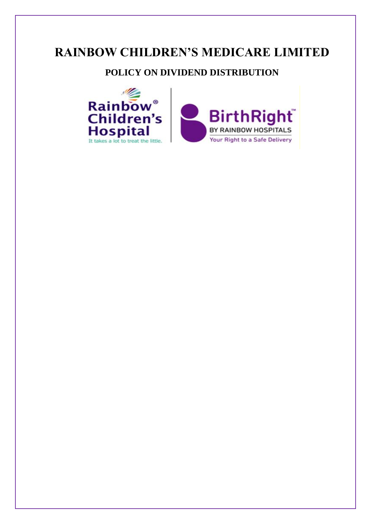# **RAINBOW CHILDREN'S MEDICARE LIMITED**

## **POLICY ON DIVIDEND DISTRIBUTION**

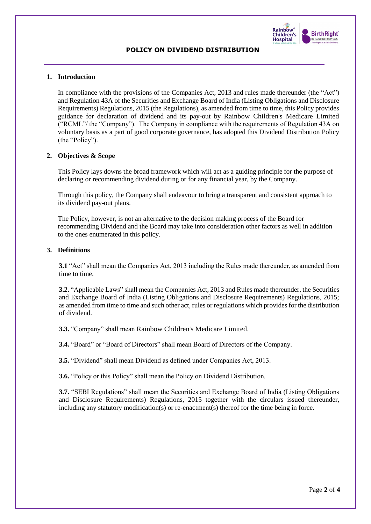

## **POLICY ON DIVIDEND DISTRIBUTION**

## **1. Introduction**

In compliance with the provisions of the Companies Act, 2013 and rules made thereunder (the "Act") and Regulation 43A of the Securities and Exchange Board of India (Listing Obligations and Disclosure Requirements) Regulations, 2015 (the Regulations), as amended from time to time, this Policy provides guidance for declaration of dividend and its pay-out by Rainbow Children's Medicare Limited ("RCML"/ the "Company"). The Company in compliance with the requirements of Regulation 43A on voluntary basis as a part of good corporate governance, has adopted this Dividend Distribution Policy (the "Policy").

## **2. Objectives & Scope**

This Policy lays downs the broad framework which will act as a guiding principle for the purpose of declaring or recommending dividend during or for any financial year, by the Company.

Through this policy, the Company shall endeavour to bring a transparent and consistent approach to its dividend pay-out plans.

The Policy, however, is not an alternative to the decision making process of the Board for recommending Dividend and the Board may take into consideration other factors as well in addition to the ones enumerated in this policy.

## **3. Definitions**

**3.1** "Act" shall mean the Companies Act, 2013 including the Rules made thereunder, as amended from time to time.

**3.2.** "Applicable Laws" shall mean the Companies Act, 2013 and Rules made thereunder, the Securities and Exchange Board of India (Listing Obligations and Disclosure Requirements) Regulations, 2015; as amended from time to time and such other act, rules or regulations which provides for the distribution of dividend.

**3.3.** "Company" shall mean Rainbow Children's Medicare Limited.

**3.4.** "Board" or "Board of Directors" shall mean Board of Directors of the Company.

**3.5.** "Dividend" shall mean Dividend as defined under Companies Act, 2013.

**3.6.** "Policy or this Policy" shall mean the Policy on Dividend Distribution.

**3.7.** "SEBI Regulations" shall mean the Securities and Exchange Board of India (Listing Obligations and Disclosure Requirements) Regulations, 2015 together with the circulars issued thereunder, including any statutory modification(s) or re-enactment(s) thereof for the time being in force.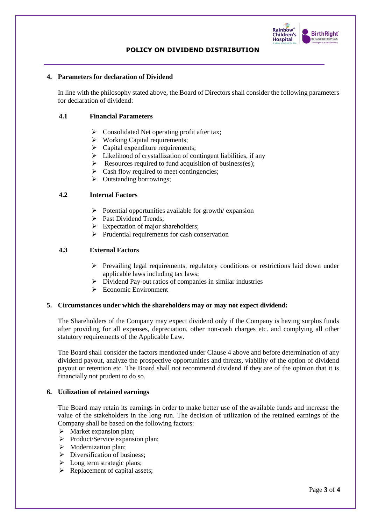

## **POLICY ON DIVIDEND DISTRIBUTION**

## **4. Parameters for declaration of Dividend**

In line with the philosophy stated above, the Board of Directors shall consider the following parameters for declaration of dividend:

## **4.1 Financial Parameters**

- ➢ Consolidated Net operating profit after tax;
- ➢ Working Capital requirements;
- $\triangleright$  Capital expenditure requirements;
- $\triangleright$  Likelihood of crystallization of contingent liabilities, if any
- $\triangleright$  Resources required to fund acquisition of business(es);
- $\triangleright$  Cash flow required to meet contingencies;
- ➢ Outstanding borrowings;

## **4.2 Internal Factors**

- $\triangleright$  Potential opportunities available for growth/ expansion
- ➢ Past Dividend Trends;
- $\triangleright$  Expectation of major shareholders;
- ➢ Prudential requirements for cash conservation

## **4.3 External Factors**

- ➢ Prevailing legal requirements, regulatory conditions or restrictions laid down under applicable laws including tax laws;
- ➢ Dividend Pay-out ratios of companies in similar industries
- ➢ Economic Environment

## **5. Circumstances under which the shareholders may or may not expect dividend:**

The Shareholders of the Company may expect dividend only if the Company is having surplus funds after providing for all expenses, depreciation, other non-cash charges etc. and complying all other statutory requirements of the Applicable Law.

The Board shall consider the factors mentioned under Clause 4 above and before determination of any dividend payout, analyze the prospective opportunities and threats, viability of the option of dividend payout or retention etc. The Board shall not recommend dividend if they are of the opinion that it is financially not prudent to do so.

## **6. Utilization of retained earnings**

The Board may retain its earnings in order to make better use of the available funds and increase the value of the stakeholders in the long run. The decision of utilization of the retained earnings of the Company shall be based on the following factors:

- $\triangleright$  Market expansion plan;
- ➢ Product/Service expansion plan;
- ➢ Modernization plan;
- ➢ Diversification of business;
- $\triangleright$  Long term strategic plans;
- ➢ Replacement of capital assets;